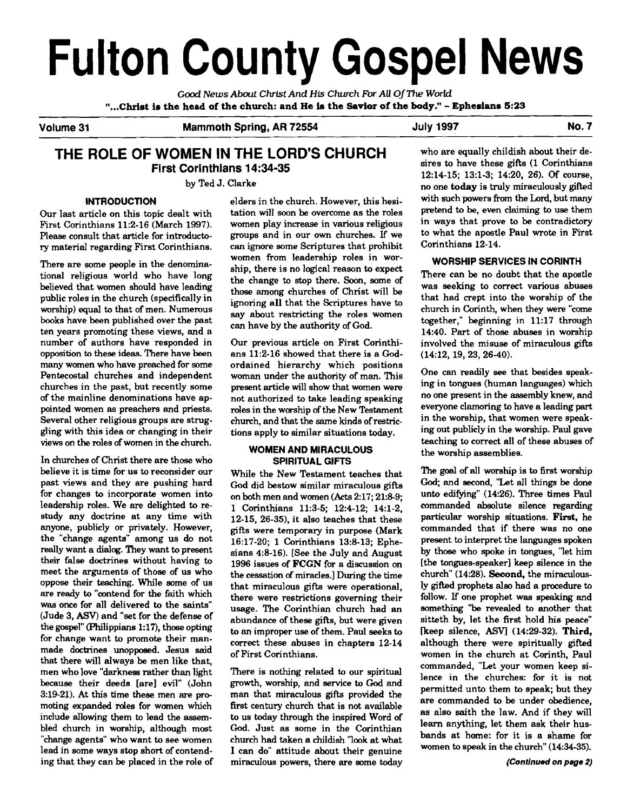# **Fulton County Gospel News**

Good *News* **About Christ And His** *Church* **For All Of The World**  "...Christ is the head of the church: and He is the Savior of the body." - Ephesians 5:23

Volume 31 Mammoth Spring, AR 72554 July 1997 July 1997

# **THE ROLE OF WOMEN IN THE LORD'S CHURCH** who are equally childish about their de-<br>
First Carinthians 14:24.25 **First Corinthians 14:34-35**

ry material regarding First Corinthians.

There are some people in the denominational religious world who have long believed that women should have leading public roles in the church (specifically in worship) equal to that of men. Numerous books have been published over the past ten years promoting these views, and a number of authors have responded in opposition to these ideas. There have been many women who have preached for some Pentecostal churches and independent churches in the past, but recently some of the mainline denominations have appointed women as preachers and priests. Several other religious groups are struggling with this idea or changing in their views on the roles of women in the church.

In churches of Christ there are those who believe it is time for us to reconsider our past views and they are pushing hard for changes to incorporate women into leadership roles. We are delighted to restudy any doctrine at any time with anyone, publicly or privately. However, the "change agents" among us do not really want a dialog. They want to present their false doctrines without having to meet the arguments of those of us who oppose their teaching. While some of us are ready to "contend for the faith which was once for all delivered to the saints" (Jude 3, ASV) and "set for the defense of the gospel" (Philippians 1:17), those opting for change want to promote their manmade doctrines unopposed. Jesus said that there will always be men like that, men who love "darkness rather than light because their deeds [are] evil" (John 3:19-21). At this time these men are promoting expanded roles for women which include allowing them to lead the assembled church in worship, although most "change agents" who want to see women lead in some ways stop short of contending that they can be placed in the role of

Please consult that article for introducto- groups and in our own churches. If we to what the apostle Paul wro<br>In First Paul wrote in First Corinthians, can ignore some Scriptures that prohibit Corinthians 12-14. women from leadership roles in worship, there is no logical reason to expect the change to stop there. Soon, some of those among churches of Christ will be ignoring all that the Scriptures have to say about restricting the roles women can have by the authority of God.

> Our previous article on First Corinthians 11:2-16 showed that there is a Godordained hierarchy which positions woman under the authority of man. This present article will show that women were not authorized to take leading speaking roles in the worship of the New Testament church, and that the same kinds of restrictions apply to similar situations today.

#### **WOMEN AND MIRACULOUS SPIRITUAL GIFTS**

While the New Testament teaches that God did bestow similar miraculous gifts on both men and women **(Acts** 2:17; 21:89; 1 Corinthians 11:3-5; 12:4-12; 14:l-2, 12-15, 26-35), it also teaches that these gifts were temporary in purpose (Mark 16:17-20; 1 Corinthians 13:8-13; Ephesians 4:8-16). [See the July and August 1996 issues of **FCGN** for a discussion on the cessation of miracles.] During the time that miraculous gifts were operational, there were restrictions governing their usage. The Corinthian church had an abundance of these gifts, but were given to an improper use of them. Paul seeks to correct these abuses in chapters 12-14 of First Corinthians.

There is nothing related to our spiritual growth, worship, and service to God and man that miraculous gifts provided the first century church that is not available to us today through the inspired Word of God. Just as some in the Corinthian church had taken a childish 'look at what I can do" attitude about their genuine miraculous powers, there are some today

12:14-15; 13:l-3; 14:20, 26). **Of** course, by Ted J. Clarke<br>
no one **today** is truly miraculously gifted<br>
aldors in the shumb. However, this bosi with such powers from the Lord, but many **INTRODUCTION** elders in the church. However, this hesi- with such powers from the Lord, but many<br>rticle on this topic dealt, with tation will soon be overcome as the roles pretend to be, even claiming to use them Our last article on this topic dealt with tation will soon be overcome as the roles pretend to be, even claiming to use them<br>First Corinthians 11:2-16 (March 1997). women play increase in various religious in ways that pro women play increase in various religious in ways that prove to be contradictory<br>groups and in our own churches. If we to what the apostle Paul wrote in First

#### **WORSHIP SERVICES IN CORINTH**

There can be no doubt that the apostle was seeking to correct various abuses that had crept into the worship of the church in Corinth, when they were "come together," beginning in 11:17 through 14:40. Part of those abuses in worship involved the misuse of miraculous gifts (14:12, 19, 23, 26-40).

One can readily see that besides speaking in tongues (human languages) which no one present in the assembly knew, and everyone clamoring to have a leading **part**  in the worship, that women were speaking out publicly in the worship. Paul gave teaching to correct all of these abuses of the worship assemblies.

The *god* of all worship is to first worship God; and second, "Let all things be done unto edifying" (1426). Three times Paul commanded absolute silence regarding particular worship situations. **First,** he commanded that if there was no one present to interpret the languages spoken by those who spoke in tongues, 'let him [the tongues-speaker] keep silence in the church" (14:28). **Second**, the miraculously gifted prophets also had a procedure to follow. If one prophet was speaking and something "be revealed to another that sitteth by, let the first hold his peace" [keep silence, ASV] (14:29-32). Third, although there were spiritually gifted women in the church at Corinth, Paul commanded, "Let your women keep silence in the churches: for it is not permitted unto them to speak; but they are commanded to be under obedience, as also saith the law. And if they will learn anything, let them ask their husbands at home: for it is a shame for women to speak in the church"  $(14:34-35)$ .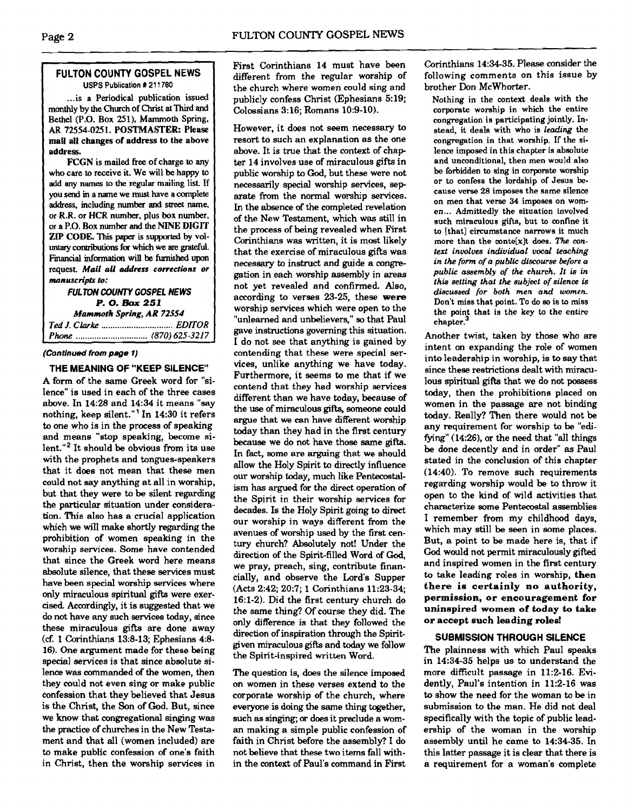#### **FULTON COUNTY GOSPEL NEWS USPS Publication X 21 1780**

... is a Periodical publication issued monthly by the Chwch of Christ **at** Third and Bethel (P.O. Box **251).** Mammoth Spring, **AR** 72554-025 1. POSTMASTER: Please mall all changes of address to the above address.

FCCN is mailed free of charge to any who care to receive it. We will be happy to add any names to the regular mailing list. If you **send** m a name we must have a complete address, including number and street name, or R.R. or HCR number, plus **box** number, or a P.O. Box number and the NINE **DIGIT**  ZIP CODE. This paper is supported by voluntary contributions for which we are grateful. Financial information will be furnished upon request. Mail all address corrections or *manuscripts to:* 

#### **FUL TON COUNTY GOSPEL NEWS P. 0.** *Box 251*  **Mammoth** *Spring, AR 72554*

| Mammoin Spring, AK / 2334 |  |
|---------------------------|--|
|                           |  |
|                           |  |

#### **(Continued from page 1)**

**THE MEANING OF "KEEP SILENCE"** 

A form of the same Greek word for "silence" is used in each of the three cases above. In 14:28 and 14:34 it means "say nothing, keep silent."' In 14:30 it refers to one who is in the process of speaking and means "stop speaking, become silent."2 It should be obvious from its use with the prophets and tongues-speakers that it does not mean that these men could not say anything at all in worship, but that they were to be silent regarding the particular situation under consideration: This also has a crucial application which we will make shortly regarding the prohibition of women speaking in the worship services. Some have contended that since the Greek word here means absolute silence, that these services must have **been** special worship services where only miraculous spiritual gifts were exercised. Accordingly, it is suggested that we do not have any such services today, since these miraculous gifts are done away **(cf.** 1 Corinthians 138-13; Ephesians 4:s-16). One argument made for these being special services is that since absolute silence was commanded of the women, then they could not even sing or make public confession that they believed that Jesus is the Christ, the Son of God. But, since we know that congregational singing was the practice of churches in the New Testament and that all (women included) are to make public confession of one's faith in Christ, then the worship services in

First Corinthians 14 must have been different from the regular worship of the church where women could sing and publicly confess Christ (Ephesians 5:19; Colossians 3:16; Romans 10:9-10).

However, it does not seem necessary to resort to such an explanation as the one above. It is true that the context of chap ter 14 involves use of miraculous gifts in public worship to **God,** but these were not necessarily special worship services, sep arate from the normal worship services. In the absence of the completed revelation of the New Testament, which was still in the process of being revealed when First Corinthians was written, it is most likely that the exercise of miraculous gifts was necessary to instruct and guide a **congre**gation in each worship assembly in **areas**  not yet revealed and confirmed. Also, according to verses 23-25, these were worship services which were open to the "unlearned and unbelievers," so that Paul gave instructions governing this situation. I do not see that anything is gained by contending that these were special services, unlike anything we have today. Furthermore, it seems to me that if we contend that they had worship services different than we have today, because of the use of miraculous gifts, someone could argue that we can have different worship today than they had in the first century because we do not have those same **gifts.**  In fact, some are arguing that we should allow the Holy Spirit to directly influence our worship today, much like Pentecostalism has argued for the direct operation of the Spirit in their worship services for decades. Is the Holy Spirit going to direct our worship in ways different from the avenues of worship used by the first century church? Absolutely not! Under the direction of the Spirit-filled Word of **God,**  we pray, preach, sing, contribute financially, and observe the Lord's Supper (Acts 2:42; 20:7; 1 Corinthians 11:23-34; 16:l-2). Did the first century church do the same thing? **Of** course they did. The only difference is that they followed the direction of inspiration through the Spiritgiven miraculous **gifb** and today we follow the Spirit-inspired written Word.

The question is, does the silence imposed on women in these verses extend to the corporate worship of the church, where everyone is doing the same thing together, such as singing; or does it preclude a woman making a simple public confession of faith in Christ before the assembly? I do not believe that these two items fall within the context of Paul's command in First

Corinthians 14:34-35. Please consider the following comments on this issue by brother Don McWhorter.

Nothing in the context deals with the corporate worship in which the entire congregation is participating jointly. Instead, it deals with who is *leading* the congregation in that worship. If the silence imposed in this chapter is absolute and unconditional, then men would also be forbidden to sing in corporate worship or to confess the lordship of Jesus because verse 28 imposes the same silence on men that verse **34** imposes on women... Admittedly the situation involved such miraculous gifts, but to confine it to [that] circumstance narrows it much more than the conte<sup>[x]</sup>t does. The con*text involves individual vocal teaching in the form of a public discourse before a public assembly of the church. It is in this setting that the subject of silence is discussed for both men and women.*  Don't miss that point. To do so is to miss the point that is the key to the entire chapter.<sup>3</sup>

Another twist, taken by those who are intent on expanding the role of women into leadership in worship, is to say that since these restrictions dealt with miraculous spiritual gifts that we do not possess today, then the prohibitions placed on women in the passage are not binding today. Really? Then there would not be any requirement for worship to be "edifying" (14:26), or the need that "all things be done decently and in order" **as** Paul stated in the conclusion of this chapter (14:40). To remove such requirements regarding worship would be to throw it open to the kind of wild activities that characterize some Pentecostal assemblies I remember from my childhood days, which may still be seen in some places. But, a point to be made here is, that if **God** would not permit miraculously gifted and inspired women in the first century to take leading roles in worship, then there is certainly no authority, permission, or encouragement for uninspired women of today to take or accept such leading roles!

#### **SUBMISSION THROUGH SILENCE**

The plainness with which Paul speaks in 14:34-35 helps us to understand the more difficult passage in 11:Z-16. Evidently, Paul's intention in 11:2-16 was to show the need for the woman to be in submission to the man. He did not deal specifically with the topic of public leadership of the woman in the worship assembly until he came to 14:34-35. In this latter passage it is clear that there is a requirement for a woman's complete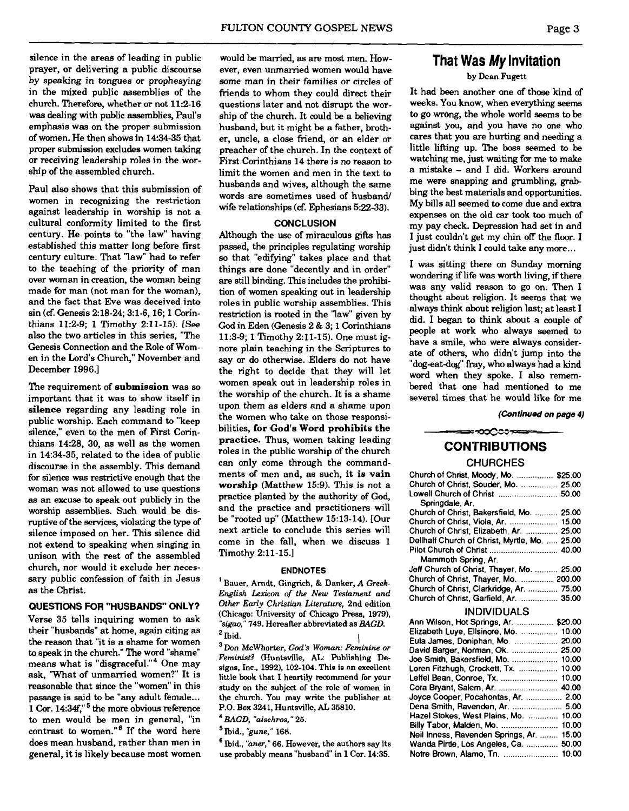silence in the areas of leading in public prayer, or delivering a public discourse by speaking in tongues or prophesying in the mixed public assemblies of the church. Therefore, whether or not 11:2-16 was dealing with public assemblies, Paul's emphasis was on the proper submission of women. He then shows in 14:34-35 that proper submission excludes women taking or receiving leadership roles in the worship of the assembled church.

Paul also shows that this submission of women in recognizing the restriction against leadership in worship is not a cultural conformity limited to the first century. He points to "the law" having established this matter long before first century culture. That 'law" had to refer to the teaching of the priority of man over woman in creation, the woman being made for man (not man for the woman), and the fact that Eve was deceived into sin **(cf.** Genesis 2:18-24; 3:l-6, 16; 1 Corinthians 11:2-9; 1 Timothy 2:11-15). **[See**  also the two articles in this series, "The Genesis Connection and the Role of Women in the Lord's Church," November and December 1996.1

The requirement of **submission** was so important that it was to show itself in **silence** regarding any leading role in public worship. Each command to "keep silence," even to the men of First Corinthians 14:28, 30, as well as the women in 14:34-35, related to the idea of public discourse in the assembly. This demand for silence **was** restrictive enough that the woman was not allowed to use auestions as an excuse to speak out publicly in the worship assemblies. Such would be disruptive of the services, violating the type of silence imposed on her. This silence did not extend to speaking when singing in unison with the rest of the assembled church, nor would it exclude her necessary public confession of faith in Jesus as the Christ.

#### **QUESTIONS FOR "HUSBANDS" ONLY?**

Verse 35 tells inquiring women to ask their "husbands" at home, again citing as the reason that "it is a shame for women to speak in the church." The word "shame" means what is "disgraceful."<sup>4</sup> One mav ask, 'What of unmarried women?" It is reasonable that since the "women" in this<br>passage is said to be "any adult female... 1 Cor. 14:34f,"<sup>5</sup> the more obvious reference to men would be men in general, "in contrast to women." $6$  If the word here does mean husband. rather than men in general, it is likely because most women

would be married, as are most men. However, even unmarried women would have some man in their families or circles of friends to whom they could direct their questions later and not disrupt the worship of the church. It could be a believing husband, but it might be a father, brother, uncle, a close friend, or an elder or preacher of the church. In the context of **First** Corinthians 14 there is no reason to limit the women and men in the text to husbands and wives, although the same words are sometimes used of husband/ wife relationships **(6:** Ephesians 5:22-33).

#### **CONCLUSION**

Although the use of miraculous gifts has passed, the principles regulating worship so that "edifying" takes place and that things are done "decently and in order" are still binding. This includes the prohibition of women speaking out in leadership roles in public worship assemblies. This restriction is rooted in the 'law" given by God in Eden (Genesis 2 & 3; **1** Corinthians 11:3-9; 1 Timothy 2:ll-15). One must ignore plain teaching in the Scriptures to say or do otherwise. Elders do not have the right to decide that they will let women speak out in leadership roles in the worship of the church. It is a shame upon them as elders and a shame upon the women who take on those responsibilities, **for God's Word prohibits the practice.** Thus, women taking leading roles in the public worship of the church can only come through the commandments of men and, as such, it **is vain worship** (Matthew 15:9). This is not a practice planted by the authority of God, and the practice and practitioners will be "rooted up" (Matthew 15:13-14). [Our next article to conclude this series will come in the fall, when we discuss 1 Timothy 2:11-15.]

ENDNOTES ' Bauer, Arndt, Gingrich, & Danker, A *Greek-English Lexicon of the New Testament and Other Early Christian Literature,* 2nd edition (Chicago: University of Chicago Press, 1979), *"sigao."* 749. Herealter abbreviated as *BAGD.* 

Ibid. I Don McWhorter, **God's** *Woman:* Feminine *or Feminist?* (Huntsville, AL: Publishing Designs, Inc., 1992), 102-104. This is an excellent little **book** that I heartily reoommend for your study on the subject of the mle of women in the church. You may write the publisher at **P.O.** Box 3241, Huntsville, **AL** 35810.

*BAGD, 'bisehros,* " 25.

bid., *"gune,"* 168.

 $<sup>6</sup>$  Ibid., "aner," 66. However, the authors say its</sup> use probably means "husband" in 1 Cor. 14:35.

# **That Was My Invitation**

by Dean Fugett

It had been another one of those kind of weeks. You know, when everything seems to go wrong, the whole world seems to be against you, and you have no one who cares that you are hurting and needing a little lifting up. The boss seemed to be watching me, just waiting for me to make a mistake - and I did. Workers around me were snapping and grumbling, **grab**  bing the best materials and opportunities. My bills all seemed to come due and extra expenses on the old car took **too** much of my pay check. Depression had set in and I just couldn't get my chin off the floor. I just didn't think I could take any more...

I was sitting there on Sunday morning wondering if life was worth living, if there was any valid reason to go on. Then I thought about religion. It seems that we always think about religion last; at least I did. I began to think about a couple of people at work who always seemed to have a smile, who were always considerate of others, who didn't jump into the "dog-eat-dog" fray, who always had a kind word when they spoke. I also remembered that one had mentioned to me several times that he would like for me

**(Continued on page 4)** 

# ≈∞೦೦೦ಾ≈ **CONTRIBUTIONS**

## **CHURCHES**

| Church of Christ, Moody, Mo.  \$25.00         |  |
|-----------------------------------------------|--|
| Church of Christ, Souder, Mo.  25.00          |  |
| Lowell Church of Christ  50.00                |  |
| Springdale, Ar.                               |  |
| Church of Christ, Bakersfield, Mo.  25.00     |  |
|                                               |  |
| Church of Christ, Elizabeth, Ar.  25.00       |  |
| Dellhalf Church of Christ, Myrtle, Mo.  25.00 |  |
|                                               |  |
| Mammoth Spring, Ar.                           |  |
| Jeff Church of Christ, Thayer, Mo.  25.00     |  |
| Church of Christ, Thayer, Mo.  200.00         |  |
| Church of Christ, Clarkridge, Ar.  75.00      |  |
| Church of Christ, Garfield, Ar.  35.00        |  |

#### INDIVIDUALS

| Ann Wilson, Hot Springs, Ar.  \$20.00 |       |
|---------------------------------------|-------|
| Elizabeth Luye, Ellsinore, Mo.        | 10.00 |
| Eula James, Doniphan, Mo.             | 20.00 |
| David Barger, Norman, Ok.             | 25.00 |
| Joe Smith, Bakersfield, Mo.           | 10.00 |
| Loren Fitzhugh, Crockett, Tx.         | 10.00 |
| Leffel Bean, Conroe, Tx.              | 10.00 |
| Cora Bryant, Salem, Ar.               | 40.00 |
| Joyce Cooper, Pocahontas, Ar.         | 2.00  |
| Dena Smith, Ravenden, Ar.  5.00       |       |
| Hazel Stokes, West Plains, Mo.        | 10.00 |
| Billy Tabor, Malden, Mo.              | 10.00 |
| Neil Inness, Ravenden Springs, Ar.    | 15.00 |
| Wanda Pirtle, Los Angeles, Ca.        | 50.00 |
| Notre Brown, Alamo, Tn.               | 10.00 |